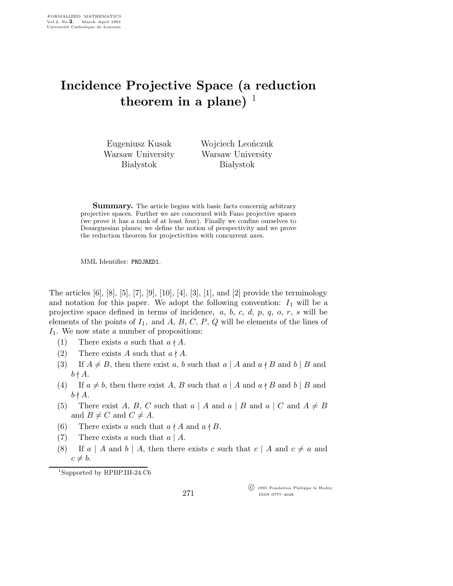## Incidence Projective Space (a reduction theorem in a plane)  $\perp$

Eugeniusz Kusak Warsaw University **Białystok** 

Wojciech Leończuk Warsaw University **Białystok** 

**Summary.** The article begins with basic facts concernig arbitrary projective spaces. Further we are concerned with Fano projective spaces (we prove it has a rank of at least four). Finally we confine ourselves to Desarguesian planes; we define the notion of perspectivity and we prove the reduction theorem for projectivities with concurrent axes.

MML Identifier: PROJRED1.

The articles  $[6]$ ,  $[8]$ ,  $[5]$ ,  $[7]$ ,  $[9]$ ,  $[10]$ ,  $[4]$ ,  $[3]$ ,  $[1]$ , and  $[2]$  provide the terminology and notation for this paper. We adopt the following convention:  $I_1$  will be a projective space defined in terms of incidence,  $a, b, c, d, p, q, o, r, s$  will be elements of the points of  $I_1$ , and  $A, B, C, P, Q$  will be elements of the lines of  $I_1$ . We now state a number of propositions:

- (1) There exists a such that  $a \nmid A$ .
- (2) There exists A such that  $a \nmid A$ .
- (3) If  $A \neq B$ , then there exist a, b such that  $a \mid A$  and  $a \nmid B$  and  $b \mid B$  and  $b \nmid A$ .
- (4) If  $a \neq b$ , then there exist A, B such that  $a | A$  and  $a \nmid B$  and  $b | B$  and  $b \nmid A$ .
- (5) There exist A, B, C such that  $a \mid A$  and  $a \mid B$  and  $a \mid C$  and  $A \neq B$ and  $B \neq C$  and  $C \neq A$ .
- (6) There exists a such that  $a \nmid A$  and  $a \nmid B$ .
- (7) There exists a such that  $a \mid A$ .
- (8) If a | A and b | A, then there exists c such that  $c \mid A$  and  $c \neq a$  and  $c \neq b$ .

<sup>1</sup>Supported by RPBP.III-24.C6

271

 c 1991 Fondation Philippe le Hodey ISSN 0777–4028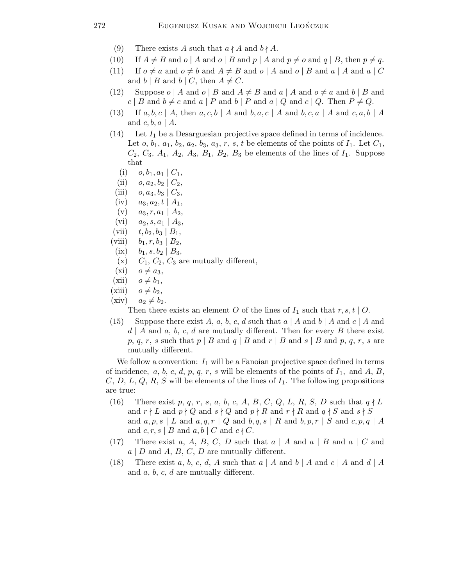- (9) There exists A such that  $a \nmid A$  and  $b \nmid A$ .
- (10) If  $A \neq B$  and  $o \mid A$  and  $o \mid B$  and  $p \mid A$  and  $p \neq o$  and  $q \mid B$ , then  $p \neq q$ .
- (11) If  $o \neq a$  and  $o \neq b$  and  $A \neq B$  and  $o \mid A$  and  $o \mid B$  and  $a \mid A$  and  $a \mid C$ and b | B and b | C, then  $A \neq C$ .
- (12) Suppose  $o \mid A$  and  $o \mid B$  and  $A \neq B$  and  $a \mid A$  and  $o \neq a$  and  $b \mid B$  and  $c | B$  and  $b \neq c$  and  $a | P$  and  $b | P$  and  $a | Q$  and  $c | Q$ . Then  $P \neq Q$ .
- $(13)$  If a, b, c | A, then a, c, b | A and b, a, c | A and b, c, a | A and c, a, b | A and  $c, b, a \mid A$ .
- $(14)$  Let  $I_1$  be a Desarguesian projective space defined in terms of incidence. Let *o*,  $b_1$ ,  $a_1$ ,  $b_2$ ,  $a_2$ ,  $b_3$ ,  $a_3$ ,  $r$ ,  $s$ ,  $t$  be elements of the points of  $I_1$ . Let  $C_1$ ,  $C_2, C_3, A_1, A_2, A_3, B_1, B_2, B_3$  be elements of the lines of  $I_1$ . Suppose that
	- (i)  $o, b_1, a_1 | C_1$
	- (ii)  $o, a_2, b_2 | C_2$
- (iii)  $o, a_3, b_3 \mid C_3$ ,
- $(iv)$   $a_3, a_2, t \mid A_1,$
- $(v)$   $a_3, r, a_1 \mid A_2,$
- (vi)  $a_2, s, a_1 | A_3,$
- (vii)  $t, b_2, b_3 | B_1,$
- (viii)  $b_1, r, b_3 | B_2$ ,
- (ix)  $b_1, s, b_2 \mid B_3$ ,
- (x)  $C_1$ ,  $C_2$ ,  $C_3$  are mutually different,
- (xi)  $o \neq a_3$ ,
- (xii)  $o \neq b_1$ ,
- (xiii)  $o \neq b_2$ ,
- (xiv)  $a_2 \neq b_2$ .

Then there exists an element O of the lines of  $I_1$  such that  $r, s, t \mid O$ .

(15) Suppose there exist A, a, b, c, d such that  $a \mid A$  and  $b \mid A$  and  $c \mid A$  and  $d \mid A$  and a, b, c, d are mutually different. Then for every B there exist p, q, r, s such that  $p \mid B$  and  $q \mid B$  and  $r \mid B$  and  $s \mid B$  and  $p$ , q, r, s are mutually different.

We follow a convention:  $I_1$  will be a Fanoian projective space defined in terms of incidence, a, b, c, d, p, q, r, s will be elements of the points of  $I_1$ , and A, B,  $C, D, L, Q, R, S$  will be elements of the lines of  $I<sub>1</sub>$ . The following propositions are true:

- (16) There exist p, q, r, s, a, b, c, A, B, C, Q, L, R, S, D such that  $q \nmid L$ and  $r \nmid L$  and  $p \nmid Q$  and  $s \nmid Q$  and  $p \nmid R$  and  $r \nmid R$  and  $q \nmid S$  and  $s \nmid S$ and  $a, p, s \mid L$  and  $a, q, r \mid Q$  and  $b, q, s \mid R$  and  $b, p, r \mid S$  and  $c, p, q \mid A$ and  $c, r, s \mid B$  and  $a, b \mid C$  and  $c \nmid C$ .
- (17) There exist a, A, B, C, D such that  $a \mid A$  and  $a \mid B$  and  $a \mid C$  and  $a \mid D$  and  $A, B, C, D$  are mutually different.
- (18) There exist a, b, c, d, A such that a | A and b | A and c | A and d | A and a, b, c, d are mutually different.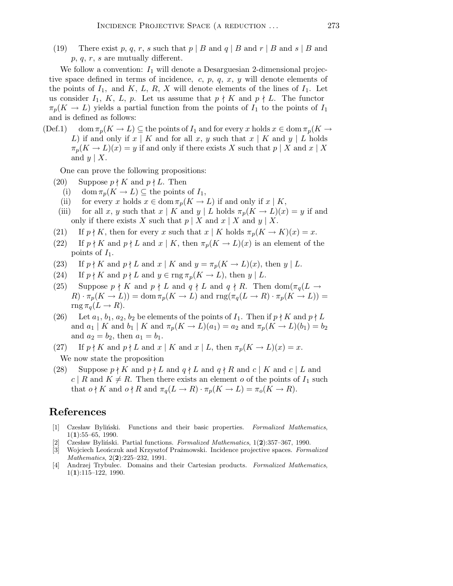(19) There exist p, q, r, s such that  $p \mid B$  and  $q \mid B$  and  $r \mid B$  and  $s \mid B$  and  $p, q, r, s$  are mutually different.

We follow a convention:  $I_1$  will denote a Desarguesian 2-dimensional projective space defined in terms of incidence, c, p, q, x, y will denote elements of the points of  $I_1$ , and  $K$ ,  $L$ ,  $R$ ,  $X$  will denote elements of the lines of  $I_1$ . Let us consider  $I_1$ , K, L, p. Let us assume that  $p \nmid K$  and  $p \nmid L$ . The functor  $\pi_p(K \to L)$  yields a partial function from the points of  $I_1$  to the points of  $I_1$ and is defined as follows:

 $(\text{Def.1})$  dom  $\pi_p(K \to L) \subseteq$  the points of  $I_1$  and for every x holds  $x \in \text{dom } \pi_p(K \to L)$ L) if and only if  $x \mid K$  and for all x, y such that  $x \mid K$  and  $y \mid L$  holds  $\pi_p(K \to L)(x) = y$  if and only if there exists X such that  $p \mid X$  and  $x \mid X$ and  $y \mid X$ .

One can prove the following propositions:

- (20) Suppose  $p \nmid K$  and  $p \nmid L$ . Then
	- (i) dom  $\pi_p(K \to L) \subseteq$  the points of  $I_1$ ,
	- (ii) for every x holds  $x \in \text{dom }\pi_p(K \to L)$  if and only if  $x \mid K$ ,
- (iii) for all x, y such that  $x \mid K$  and  $y \mid L$  holds  $\pi_p(K \to L)(x) = y$  if and only if there exists X such that  $p \mid X$  and  $x \mid X$  and  $y \mid X$ .
- (21) If  $p \nmid K$ , then for every x such that  $x \mid K$  holds  $\pi_p(K \to K)(x) = x$ .
- (22) If  $p \nmid K$  and  $p \nmid L$  and  $x \mid K$ , then  $\pi_p(K \to L)(x)$  is an element of the points of  $I_1$ .
- (23) If  $p \nmid K$  and  $p \nmid L$  and  $x \mid K$  and  $y = \pi_p(K \to L)(x)$ , then  $y \mid L$ .
- (24) If  $p \nmid K$  and  $p \nmid L$  and  $y \in \text{rng } \pi_p(K \to L)$ , then  $y \mid L$ .
- (25) Suppose  $p \nmid K$  and  $p \nmid L$  and  $q \nmid L$  and  $q \nmid R$ . Then  $\text{dom}(\pi_q(L \rightarrow$  $(R) \cdot \pi_p(K \to L)) = \text{dom} \, \pi_p(K \to L) \text{ and } \text{rng}(\pi_q(L \to R) \cdot \pi_p(K \to L)) =$  $\text{rng }\pi_a(L \to R).$
- (26) Let  $a_1, b_1, a_2, b_2$  be elements of the points of  $I_1$ . Then if  $p \nmid K$  and  $p \nmid L$ and  $a_1 | K$  and  $b_1 | K$  and  $\pi_p(K \to L)(a_1) = a_2$  and  $\pi_p(K \to L)(b_1) = b_2$ and  $a_2 = b_2$ , then  $a_1 = b_1$ .
- (27) If  $p \nmid K$  and  $p \nmid L$  and  $x \mid K$  and  $x \mid L$ , then  $\pi_p(K \to L)(x) = x$ . We now state the proposition
- (28) Suppose  $p \nmid K$  and  $p \nmid L$  and  $q \nmid L$  and  $q \nmid R$  and  $c \mid K$  and  $c \mid L$  and  $c \mid R$  and  $K \neq R$ . Then there exists an element o of the points of  $I_1$  such that  $o \nmid K$  and  $o \nmid R$  and  $\pi_q(L \to R) \cdot \pi_p(K \to L) = \pi_o(K \to R)$ .

## References

- [1] Czesław Byliński. Functions and their basic properties. Formalized Mathematics,  $1(1):55-65, 1990.$
- [2] Czesław Byliński. Partial functions. Formalized Mathematics, 1(2):357-367, 1990.
- [3] Wojciech Leończuk and Krzysztof Prażmowski. Incidence projective spaces. Formalized Mathematics, 2(2):225-232, 1991.
- [4] Andrzej Trybulec. Domains and their Cartesian products. Formalized Mathematics, 1(1):115–122, 1990.